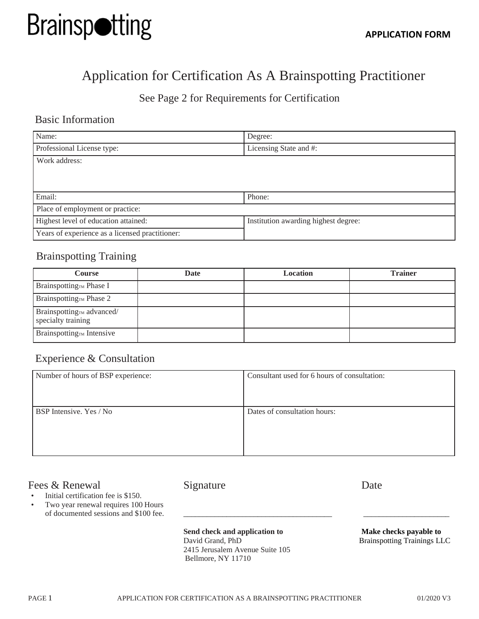

# Application for Certification As A Brainspotting Practitioner

# See Page 2 for Requirements for Certification

### Basic Information

| Name:                                           | Degree:                              |  |  |
|-------------------------------------------------|--------------------------------------|--|--|
| Professional License type:                      | Licensing State and #:               |  |  |
| Work address:                                   |                                      |  |  |
|                                                 |                                      |  |  |
|                                                 |                                      |  |  |
| Email:                                          | Phone:                               |  |  |
| Place of employment or practice:                |                                      |  |  |
| Highest level of education attained:            | Institution awarding highest degree: |  |  |
| Years of experience as a licensed practitioner: |                                      |  |  |

# Brainspotting Training

| <b>Course</b>                                               | Date | <b>Location</b> | <b>Trainer</b> |
|-------------------------------------------------------------|------|-----------------|----------------|
| Brainspotting $\mathbb{R}$ Phase I                          |      |                 |                |
| Brainspotting <sub>TM</sub> Phase 2                         |      |                 |                |
| Brainspotting <sub>TM</sub> advanced/<br>specialty training |      |                 |                |
| Brainspotting <sub>TM</sub> Intensive                       |      |                 |                |

## Experience & Consultation

| Number of hours of BSP experience: | Consultant used for 6 hours of consultation: |  |
|------------------------------------|----------------------------------------------|--|
|                                    |                                              |  |
|                                    |                                              |  |
| BSP Intensive. Yes / No            | Dates of consultation hours:                 |  |
|                                    |                                              |  |
|                                    |                                              |  |
|                                    |                                              |  |

#### Fees & Renewal Signature Date

- Initial certification fee is \$150.
- Two year renewal requires 100 Hours of documented sessions and \$100 fee.

**Send check and application to** David Grand, PhD 2415 Jerusalem Avenue Suite 105 Bellmore, NY 11710

**Make checks payable to** Brainspotting Trainings LLC

\_\_\_\_\_\_\_\_\_\_\_\_\_\_\_\_\_\_\_\_\_\_